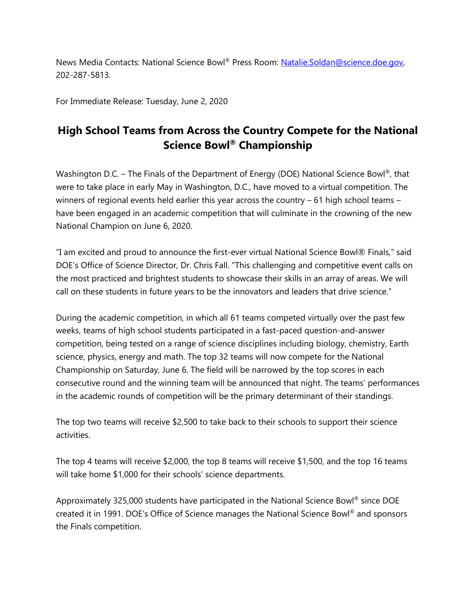News Media Contacts: National Science Bowl® Press Room: [Natalie.Soldan@science.doe.gov,](mailto:Natalie.Soldan@science.doe.gov) 202-287-5813.

For Immediate Release: Tuesday, June 2, 2020

# **High School Teams from Across the Country Compete for the National Science Bowl® Championship**

Washington D.C. – The Finals of the Department of Energy (DOE) National Science Bowl<sup>®</sup>, that were to take place in early May in Washington, D.C., have moved to a virtual competition. The winners of regional events held earlier this year across the country – 61 high school teams – have been engaged in an academic competition that will culminate in the crowning of the new National Champion on June 6, 2020.

"I am excited and proud to announce the first-ever virtual National Science Bowl® Finals," said DOE's Office of Science Director, Dr. Chris Fall. "This challenging and competitive event calls on the most practiced and brightest students to showcase their skills in an array of areas. We will call on these students in future years to be the innovators and leaders that drive science."

During the academic competition, in which all 61 teams competed virtually over the past few weeks, teams of high school students participated in a fast-paced question-and-answer competition, being tested on a range of science disciplines including biology, chemistry, Earth science, physics, energy and math. The top 32 teams will now compete for the National Championship on Saturday, June 6. The field will be narrowed by the top scores in each consecutive round and the winning team will be announced that night. The teams' performances in the academic rounds of competition will be the primary determinant of their standings.

The top two teams will receive \$2,500 to take back to their schools to support their science activities.

The top 4 teams will receive \$2,000, the top 8 teams will receive \$1,500, and the top 16 teams will take home \$1,000 for their schools' science departments.

Approximately 325,000 students have participated in the National Science Bowl® since DOE created it in 1991. DOE's Office of Science manages the National Science Bowl® and sponsors the Finals competition.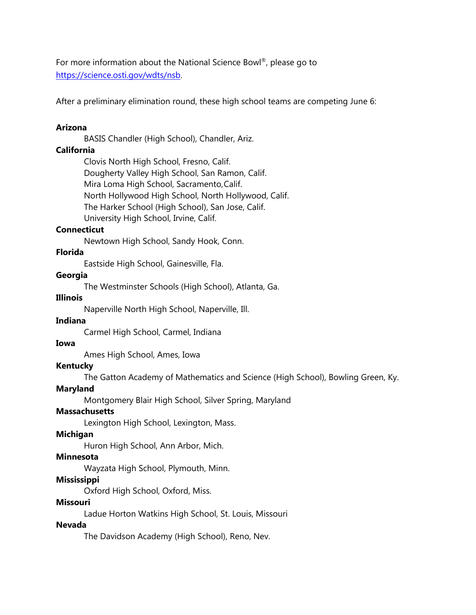For more information about the National Science Bowl®, please go to [https://science.osti.gov/wdts/nsb.](https://science.osti.gov/wdts/nsb)

After a preliminary elimination round, these high school teams are competing June 6:

# **Arizona**

BASIS Chandler (High School), Chandler, Ariz.

# **California**

Clovis North High School, Fresno, Calif. Dougherty Valley High School, San Ramon, Calif. Mira Loma High School, Sacramento,Calif. North Hollywood High School, North Hollywood, Calif. The Harker School (High School), San Jose, Calif. University High School, Irvine, Calif.

## **Connecticut**

Newtown High School, Sandy Hook, Conn.

## **Florida**

Eastside High School, Gainesville, Fla.

## **Georgia**

The Westminster Schools (High School), Atlanta, Ga.

## **Illinois**

Naperville North High School, Naperville, Ill.

## **Indiana**

Carmel High School, Carmel, Indiana

# **Iowa**

Ames High School, Ames, Iowa

## **Kentucky**

The Gatton Academy of Mathematics and Science (High School), Bowling Green, Ky.

## **Maryland**

Montgomery Blair High School, Silver Spring, Maryland

#### **Massachusetts**

Lexington High School, Lexington, Mass.

#### **Michigan**

Huron High School, Ann Arbor, Mich.

# **Minnesota**

Wayzata High School, Plymouth, Minn.

## **Mississippi**

Oxford High School, Oxford, Miss.

#### **Missouri**

Ladue Horton Watkins High School, St. Louis, Missouri

## **Nevada**

The Davidson Academy (High School), Reno, Nev.